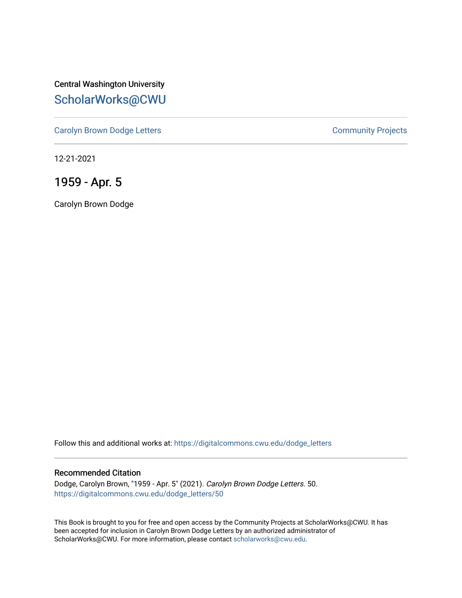Central Washington University [ScholarWorks@CWU](https://digitalcommons.cwu.edu/) 

[Carolyn Brown Dodge Letters](https://digitalcommons.cwu.edu/dodge_letters) **Carolyn Brown Dodge Letters Community Projects** 

12-21-2021

# 1959 - Apr. 5

Carolyn Brown Dodge

Follow this and additional works at: [https://digitalcommons.cwu.edu/dodge\\_letters](https://digitalcommons.cwu.edu/dodge_letters?utm_source=digitalcommons.cwu.edu%2Fdodge_letters%2F50&utm_medium=PDF&utm_campaign=PDFCoverPages) 

#### Recommended Citation

Dodge, Carolyn Brown, "1959 - Apr. 5" (2021). Carolyn Brown Dodge Letters. 50. [https://digitalcommons.cwu.edu/dodge\\_letters/50](https://digitalcommons.cwu.edu/dodge_letters/50?utm_source=digitalcommons.cwu.edu%2Fdodge_letters%2F50&utm_medium=PDF&utm_campaign=PDFCoverPages)

This Book is brought to you for free and open access by the Community Projects at ScholarWorks@CWU. It has been accepted for inclusion in Carolyn Brown Dodge Letters by an authorized administrator of ScholarWorks@CWU. For more information, please contact [scholarworks@cwu.edu](mailto:scholarworks@cwu.edu).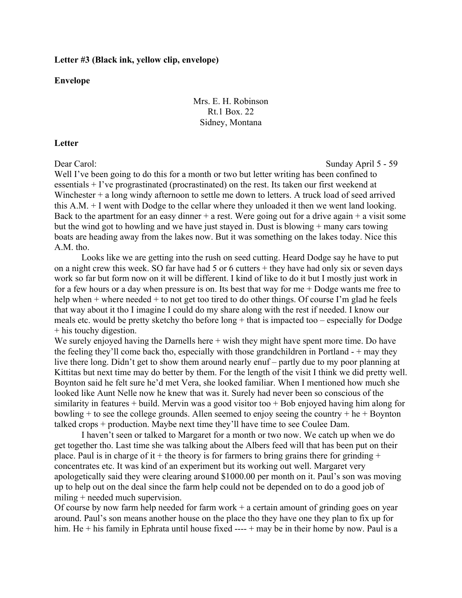### **Letter #3 (Black ink, yellow clip, envelope)**

## **Envelope**

Mrs. E. H. Robinson Rt.1 Box. 22 Sidney, Montana

### **Letter**

Dear Carol: Sunday April 5 - 59

Well I've been going to do this for a month or two but letter writing has been confined to essentials + I've prograstinated (procrastinated) on the rest. Its taken our first weekend at Winchester + a long windy afternoon to settle me down to letters. A truck load of seed arrived this A.M. + I went with Dodge to the cellar where they unloaded it then we went land looking. Back to the apartment for an easy dinner  $+$  a rest. Were going out for a drive again  $+$  a visit some but the wind got to howling and we have just stayed in. Dust is blowing  $+$  many cars towing boats are heading away from the lakes now. But it was something on the lakes today. Nice this A.M. tho.

Looks like we are getting into the rush on seed cutting. Heard Dodge say he have to put on a night crew this week. SO far have had 5 or 6 cutters + they have had only six or seven days work so far but form now on it will be different. I kind of like to do it but I mostly just work in for a few hours or a day when pressure is on. Its best that way for me  $+$  Dodge wants me free to help when + where needed + to not get too tired to do other things. Of course I'm glad he feels that way about it tho I imagine I could do my share along with the rest if needed. I know our meals etc. would be pretty sketchy tho before  $\log +$  that is impacted too – especially for Dodge + his touchy digestion.

We surely enjoyed having the Darnells here + wish they might have spent more time. Do have the feeling they'll come back tho, especially with those grandchildren in Portland - + may they live there long. Didn't get to show them around nearly enuf – partly due to my poor planning at Kittitas but next time may do better by them. For the length of the visit I think we did pretty well. Boynton said he felt sure he'd met Vera, she looked familiar. When I mentioned how much she looked like Aunt Nelle now he knew that was it. Surely had never been so conscious of the similarity in features  $+$  build. Mervin was a good visitor too  $+$  Bob enjoyed having him along for bowling + to see the college grounds. Allen seemed to enjoy seeing the country + he + Boynton talked crops + production. Maybe next time they'll have time to see Coulee Dam.

I haven't seen or talked to Margaret for a month or two now. We catch up when we do get together tho. Last time she was talking about the Albers feed will that has been put on their place. Paul is in charge of it + the theory is for farmers to bring grains there for grinding  $+$ concentrates etc. It was kind of an experiment but its working out well. Margaret very apologetically said they were clearing around \$1000.00 per month on it. Paul's son was moving up to help out on the deal since the farm help could not be depended on to do a good job of miling + needed much supervision.

Of course by now farm help needed for farm work  $+$  a certain amount of grinding goes on year around. Paul's son means another house on the place tho they have one they plan to fix up for him. He + his family in Ephrata until house fixed ---- + may be in their home by now. Paul is a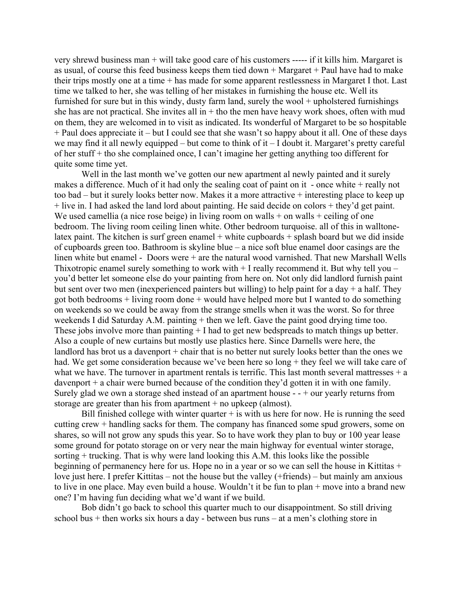very shrewd business man + will take good care of his customers ----- if it kills him. Margaret is as usual, of course this feed business keeps them tied down  $+$  Margaret  $+$  Paul have had to make their trips mostly one at a time + has made for some apparent restlessness in Margaret I thot. Last time we talked to her, she was telling of her mistakes in furnishing the house etc. Well its furnished for sure but in this windy, dusty farm land, surely the wool  $+$  upholstered furnishings she has are not practical. She invites all in  $+$  tho the men have heavy work shoes, often with mud on them, they are welcomed in to visit as indicated. Its wonderful of Margaret to be so hospitable + Paul does appreciate it – but I could see that she wasn't so happy about it all. One of these days we may find it all newly equipped – but come to think of it – I doubt it. Margaret's pretty careful of her stuff + tho she complained once, I can't imagine her getting anything too different for quite some time yet.

Well in the last month we've gotten our new apartment al newly painted and it surely makes a difference. Much of it had only the sealing coat of paint on it - once white + really not too bad – but it surely looks better now. Makes it a more attractive + interesting place to keep up + live in. I had asked the land lord about painting. He said decide on colors + they'd get paint. We used camellia (a nice rose beige) in living room on walls  $+$  on walls  $+$  ceiling of one bedroom. The living room ceiling linen white. Other bedroom turquoise. all of this in walltonelatex paint. The kitchen is surf green enamel  $+$  white cupboards  $+$  splash board but we did inside of cupboards green too. Bathroom is skyline blue – a nice soft blue enamel door casings are the linen white but enamel - Doors were + are the natural wood varnished. That new Marshall Wells Thixotropic enamel surely something to work with  $+$  I really recommend it. But why tell you – you'd better let someone else do your painting from here on. Not only did landlord furnish paint but sent over two men (inexperienced painters but willing) to help paint for a day  $+$  a half. They got both bedrooms + living room done + would have helped more but I wanted to do something on weekends so we could be away from the strange smells when it was the worst. So for three weekends I did Saturday A.M. painting + then we left. Gave the paint good drying time too. These jobs involve more than painting  $+$  I had to get new bedspreads to match things up better. Also a couple of new curtains but mostly use plastics here. Since Darnells were here, the landlord has brot us a davenport  $+$  chair that is no better nut surely looks better than the ones we had. We get some consideration because we've been here so long + they feel we will take care of what we have. The turnover in apartment rentals is terrific. This last month several mattresses  $+ a$ davenport  $+$  a chair were burned because of the condition they'd gotten it in with one family. Surely glad we own a storage shed instead of an apartment house  $+$  our yearly returns from storage are greater than his from apartment  $+$  no upkeep (almost).

Bill finished college with winter quarter  $+$  is with us here for now. He is running the seed cutting crew + handling sacks for them. The company has financed some spud growers, some on shares, so will not grow any spuds this year. So to have work they plan to buy or 100 year lease some ground for potato storage on or very near the main highway for eventual winter storage, sorting + trucking. That is why were land looking this A.M. this looks like the possible beginning of permanency here for us. Hope no in a year or so we can sell the house in Kittitas + love just here. I prefer Kittitas – not the house but the valley (+friends) – but mainly am anxious to live in one place. May even build a house. Wouldn't it be fun to plan + move into a brand new one? I'm having fun deciding what we'd want if we build.

Bob didn't go back to school this quarter much to our disappointment. So still driving school bus  $+$  then works six hours a day - between bus runs  $-$  at a men's clothing store in